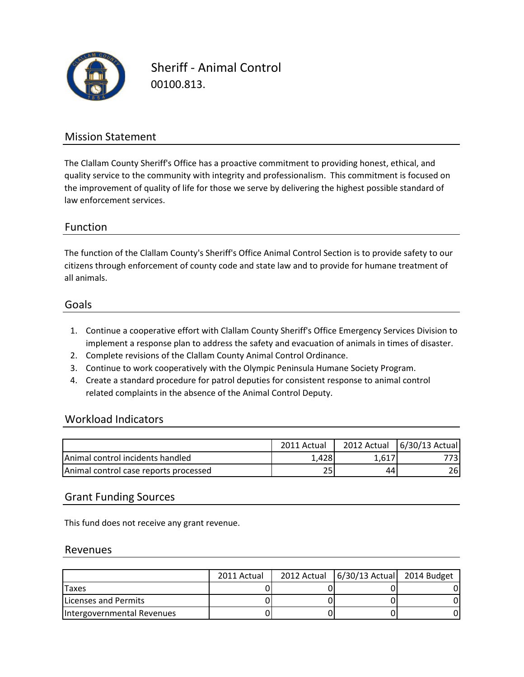

Sheriff - Animal Control 00100.813.

## Mission Statement

The Clallam County Sheriff's Office has a proactive commitment to providing honest, ethical, and quality service to the community with integrity and professionalism. This commitment is focused on the improvement of quality of life for those we serve by delivering the highest possible standard of law enforcement services.

## Function

all animals. citizens through enforcement of county code and state law and to provide for humane treatment of The function of the Clallam County's Sheriff's Office Animal Control Section is to provide safety to our

#### Goals

- 1. Continue a cooperative effort with Clallam County Sheriff's Office Emergency Services Division to implement a response plan to address the safety and evacuation of animals in times of disaster.
- 2. Complete revisions of the Clallam County Animal Control Ordinance.
- 3. Continue to work cooperatively with the Olympic Peninsula Humane Society Program.
- 4. Create a standard procedure for patrol deputies for consistent response to animal control related complaints in the absence of the Animal Control Deputy.

#### Workload Indicators

|                                          | 2011 Actual | 2012 Actual | $6/30/13$ Actual |
|------------------------------------------|-------------|-------------|------------------|
| <b>IAnimal control incidents handled</b> | L.4281      | 1,617'      |                  |
| Animal control case reports processed    | 25          | 44          | 26I              |

## Grant Funding Sources

This fund does not receive any grant revenue.

#### Revenues

|                              | 2011 Actual | 2012 Actual   6/30/13 Actual   2014 Budget |  |
|------------------------------|-------------|--------------------------------------------|--|
| <b>Taxes</b>                 |             |                                            |  |
| <b>ILicenses and Permits</b> |             |                                            |  |
| Intergovernmental Revenues   |             |                                            |  |